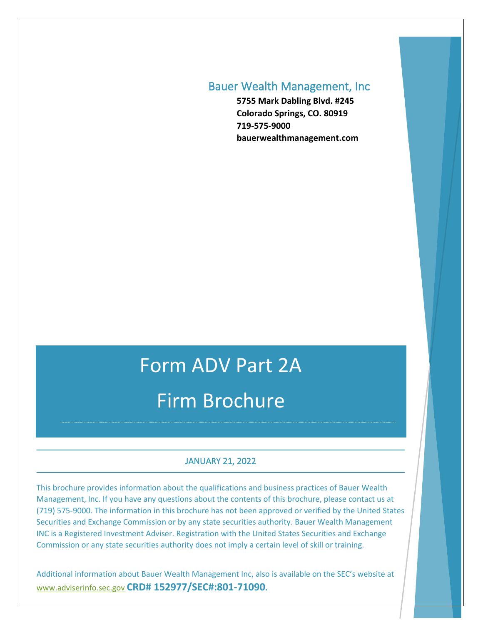### Bauer Wealth Management, Inc

**5755 Mark Dabling Blvd. #245 Colorado Springs, CO. 80919 719-575-9000 bauerwealthmanagement.com**

# Form ADV Part 2A Firm Brochure

#### JANUARY 21, 2022

This brochure provides information about the qualifications and business practices of Bauer Wealth Management, Inc. If you have any questions about the contents of this brochure, please contact us at (719) 575-9000. The information in this brochure has not been approved or verified by the United States Securities and Exchange Commission or by any state securities authority. Bauer Wealth Management INC is a Registered Investment Adviser. Registration with the United States Securities and Exchange Commission or any state securities authority does not imply a certain level of skill or training.

Additional information about Bauer Wealth Management Inc, also is available on the SEC's website at [www.adviserinfo.sec.gov](http://www.adviserinfo.sec.gov/) **CRD# 152977/SEC#:801-71090.**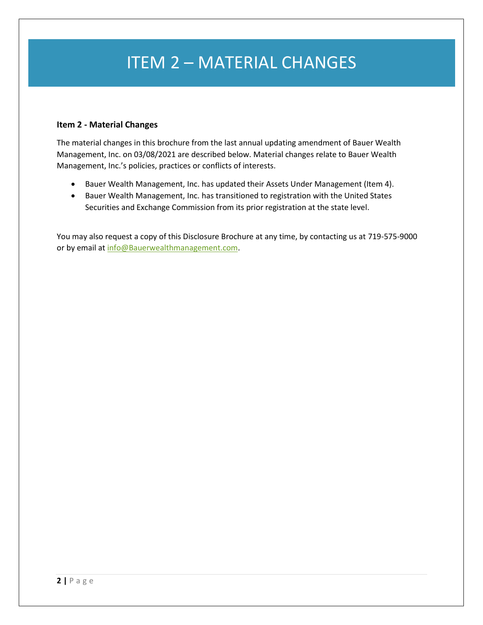## ITEM 2 – MATERIAL CHANGES

#### **Item 2 - Material Changes**

The material changes in this brochure from the last annual updating amendment of Bauer Wealth Management, Inc. on 03/08/2021 are described below. Material changes relate to Bauer Wealth Management, Inc.'s policies, practices or conflicts of interests.

- Bauer Wealth Management, Inc. has updated their Assets Under Management (Item 4).
- Bauer Wealth Management, Inc. has transitioned to registration with the United States Securities and Exchange Commission from its prior registration at the state level.

You may also request a copy of this Disclosure Brochure at any time, by contacting us at 719-575-9000 or by email at [info@Bauerwealthmanagement.com.](mailto:info@Bauerwealthmanagement.com)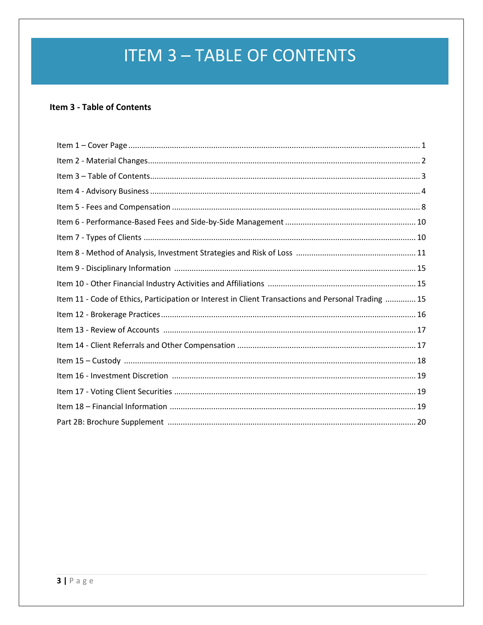## **ITEM 3 - TABLE OF CONTENTS**

### Item 3 - Table of Contents

| Item 11 - Code of Ethics, Participation or Interest in Client Transactions and Personal Trading  15 |
|-----------------------------------------------------------------------------------------------------|
|                                                                                                     |
|                                                                                                     |
|                                                                                                     |
|                                                                                                     |
|                                                                                                     |
|                                                                                                     |
|                                                                                                     |
|                                                                                                     |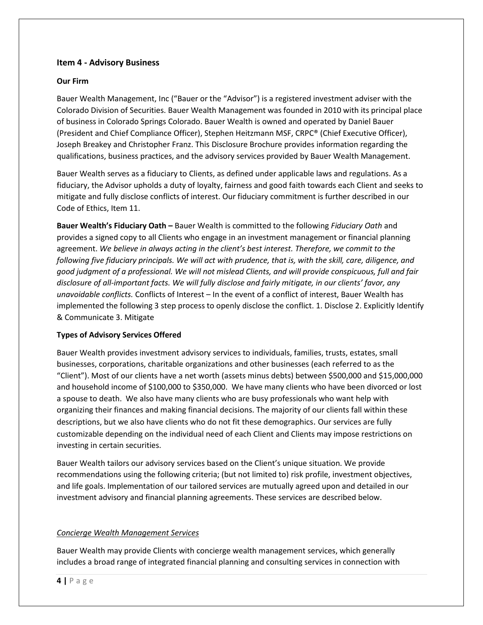#### **Item 4 - Advisory Business**

#### **Our Firm**

Bauer Wealth Management, Inc ("Bauer or the "Advisor") is a registered investment adviser with the Colorado Division of Securities. Bauer Wealth Management was founded in 2010 with its principal place of business in Colorado Springs Colorado. Bauer Wealth is owned and operated by Daniel Bauer (President and Chief Compliance Officer), Stephen Heitzmann MSF, CRPC® (Chief Executive Officer), Joseph Breakey and Christopher Franz. This Disclosure Brochure provides information regarding the qualifications, business practices, and the advisory services provided by Bauer Wealth Management.

Bauer Wealth serves as a fiduciary to Clients, as defined under applicable laws and regulations. As a fiduciary, the Advisor upholds a duty of loyalty, fairness and good faith towards each Client and seeks to mitigate and fully disclose conflicts of interest. Our fiduciary commitment is further described in our Code of Ethics, Item 11.

**Bauer Wealth's Fiduciary Oath –** Bauer Wealth is committed to the following *Fiduciary Oath* and provides a signed copy to all Clients who engage in an investment management or financial planning agreement. *We believe in always acting in the client's best interest. Therefore, we commit to the following five fiduciary principals. We will act with prudence, that is, with the skill, care, diligence, and good judgment of a professional. We will not mislead Clients, and will provide conspicuous, full and fair disclosure of all-important facts. We will fully disclose and fairly mitigate, in our clients' favor, any unavoidable conflicts.* Conflicts of Interest – In the event of a conflict of interest, Bauer Wealth has implemented the following 3 step process to openly disclose the conflict. 1. Disclose 2. Explicitly Identify & Communicate 3. Mitigate

#### **Types of Advisory Services Offered**

Bauer Wealth provides investment advisory services to individuals, families, trusts, estates, small businesses, corporations, charitable organizations and other businesses (each referred to as the "Client"). Most of our clients have a net worth (assets minus debts) between \$500,000 and \$15,000,000 and household income of \$100,000 to \$350,000. We have many clients who have been divorced or lost a spouse to death. We also have many clients who are busy professionals who want help with organizing their finances and making financial decisions. The majority of our clients fall within these descriptions, but we also have clients who do not fit these demographics. Our services are fully customizable depending on the individual need of each Client and Clients may impose restrictions on investing in certain securities.

Bauer Wealth tailors our advisory services based on the Client's unique situation. We provide recommendations using the following criteria; (but not limited to) risk profile, investment objectives, and life goals. Implementation of our tailored services are mutually agreed upon and detailed in our investment advisory and financial planning agreements. These services are described below.

#### *Concierge Wealth Management Services*

Bauer Wealth may provide Clients with concierge wealth management services, which generally includes a broad range of integrated financial planning and consulting services in connection with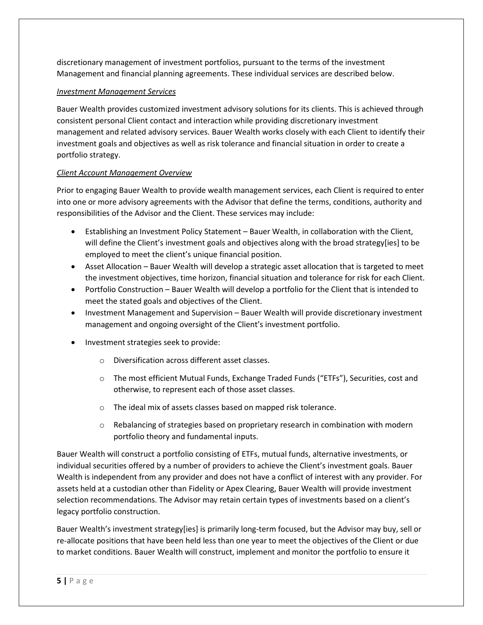discretionary management of investment portfolios, pursuant to the terms of the investment Management and financial planning agreements. These individual services are described below.

#### *Investment Management Services*

Bauer Wealth provides customized investment advisory solutions for its clients. This is achieved through consistent personal Client contact and interaction while providing discretionary investment management and related advisory services. Bauer Wealth works closely with each Client to identify their investment goals and objectives as well as risk tolerance and financial situation in order to create a portfolio strategy.

#### *Client Account Management Overview*

Prior to engaging Bauer Wealth to provide wealth management services, each Client is required to enter into one or more advisory agreements with the Advisor that define the terms, conditions, authority and responsibilities of the Advisor and the Client. These services may include:

- Establishing an Investment Policy Statement Bauer Wealth, in collaboration with the Client, will define the Client's investment goals and objectives along with the broad strategy[ies] to be employed to meet the client's unique financial position.
- Asset Allocation Bauer Wealth will develop a strategic asset allocation that is targeted to meet the investment objectives, time horizon, financial situation and tolerance for risk for each Client.
- Portfolio Construction Bauer Wealth will develop a portfolio for the Client that is intended to meet the stated goals and objectives of the Client.
- Investment Management and Supervision Bauer Wealth will provide discretionary investment management and ongoing oversight of the Client's investment portfolio.
- Investment strategies seek to provide:
	- o Diversification across different asset classes.
	- o The most efficient Mutual Funds, Exchange Traded Funds ("ETFs"), Securities, cost and otherwise, to represent each of those asset classes.
	- o The ideal mix of assets classes based on mapped risk tolerance.
	- $\circ$  Rebalancing of strategies based on proprietary research in combination with modern portfolio theory and fundamental inputs.

Bauer Wealth will construct a portfolio consisting of ETFs, mutual funds, alternative investments, or individual securities offered by a number of providers to achieve the Client's investment goals. Bauer Wealth is independent from any provider and does not have a conflict of interest with any provider. For assets held at a custodian other than Fidelity or Apex Clearing, Bauer Wealth will provide investment selection recommendations. The Advisor may retain certain types of investments based on a client's legacy portfolio construction.

Bauer Wealth's investment strategy[ies] is primarily long-term focused, but the Advisor may buy, sell or re-allocate positions that have been held less than one year to meet the objectives of the Client or due to market conditions. Bauer Wealth will construct, implement and monitor the portfolio to ensure it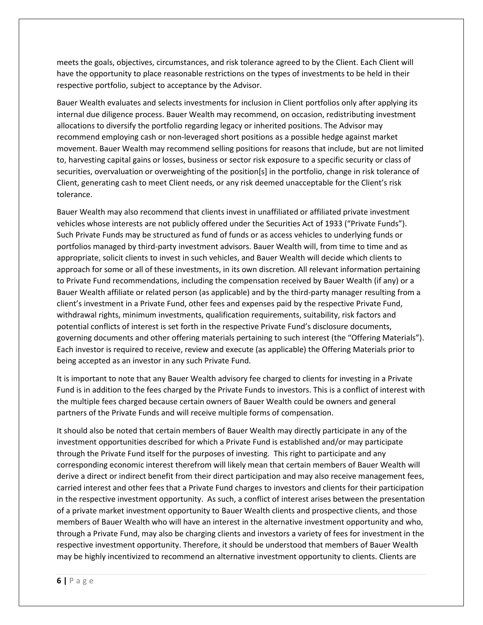meets the goals, objectives, circumstances, and risk tolerance agreed to by the Client. Each Client will have the opportunity to place reasonable restrictions on the types of investments to be held in their respective portfolio, subject to acceptance by the Advisor.

Bauer Wealth evaluates and selects investments for inclusion in Client portfolios only after applying its internal due diligence process. Bauer Wealth may recommend, on occasion, redistributing investment allocations to diversify the portfolio regarding legacy or inherited positions. The Advisor may recommend employing cash or non-leveraged short positions as a possible hedge against market movement. Bauer Wealth may recommend selling positions for reasons that include, but are not limited to, harvesting capital gains or losses, business or sector risk exposure to a specific security or class of securities, overvaluation or overweighting of the position[s] in the portfolio, change in risk tolerance of Client, generating cash to meet Client needs, or any risk deemed unacceptable for the Client's risk tolerance.

Bauer Wealth may also recommend that clients invest in unaffiliated or affiliated private investment vehicles whose interests are not publicly offered under the Securities Act of 1933 ("Private Funds"). Such Private Funds may be structured as fund of funds or as access vehicles to underlying funds or portfolios managed by third-party investment advisors. Bauer Wealth will, from time to time and as appropriate, solicit clients to invest in such vehicles, and Bauer Wealth will decide which clients to approach for some or all of these investments, in its own discretion. All relevant information pertaining to Private Fund recommendations, including the compensation received by Bauer Wealth (if any) or a Bauer Wealth affiliate or related person (as applicable) and by the third-party manager resulting from a client's investment in a Private Fund, other fees and expenses paid by the respective Private Fund, withdrawal rights, minimum investments, qualification requirements, suitability, risk factors and potential conflicts of interest is set forth in the respective Private Fund's disclosure documents, governing documents and other offering materials pertaining to such interest (the "Offering Materials"). Each investor is required to receive, review and execute (as applicable) the Offering Materials prior to being accepted as an investor in any such Private Fund.

It is important to note that any Bauer Wealth advisory fee charged to clients for investing in a Private Fund is in addition to the fees charged by the Private Funds to investors. This is a conflict of interest with the multiple fees charged because certain owners of Bauer Wealth could be owners and general partners of the Private Funds and will receive multiple forms of compensation.

It should also be noted that certain members of Bauer Wealth may directly participate in any of the investment opportunities described for which a Private Fund is established and/or may participate through the Private Fund itself for the purposes of investing. This right to participate and any corresponding economic interest therefrom will likely mean that certain members of Bauer Wealth will derive a direct or indirect benefit from their direct participation and may also receive management fees, carried interest and other fees that a Private Fund charges to investors and clients for their participation in the respective investment opportunity. As such, a conflict of interest arises between the presentation of a private market investment opportunity to Bauer Wealth clients and prospective clients, and those members of Bauer Wealth who will have an interest in the alternative investment opportunity and who, through a Private Fund, may also be charging clients and investors a variety of fees for investment in the respective investment opportunity. Therefore, it should be understood that members of Bauer Wealth may be highly incentivized to recommend an alternative investment opportunity to clients. Clients are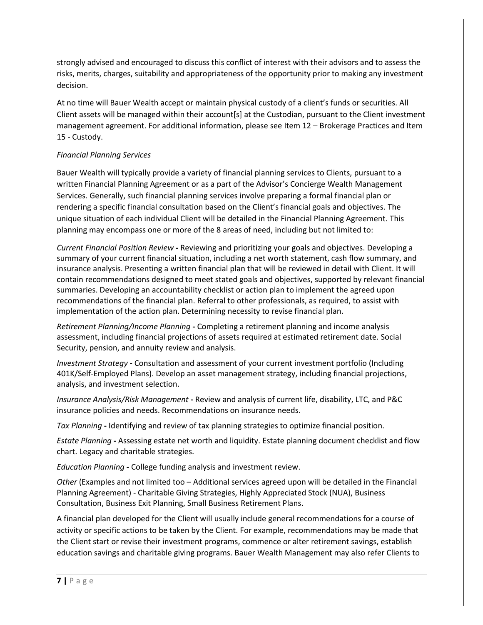strongly advised and encouraged to discuss this conflict of interest with their advisors and to assess the risks, merits, charges, suitability and appropriateness of the opportunity prior to making any investment decision.

At no time will Bauer Wealth accept or maintain physical custody of a client's funds or securities. All Client assets will be managed within their account[s] at the Custodian, pursuant to the Client investment management agreement. For additional information, please see Item 12 – Brokerage Practices and Item 15 - Custody.

#### *Financial Planning Services*

Bauer Wealth will typically provide a variety of financial planning services to Clients, pursuant to a written Financial Planning Agreement or as a part of the Advisor's Concierge Wealth Management Services. Generally, such financial planning services involve preparing a formal financial plan or rendering a specific financial consultation based on the Client's financial goals and objectives. The unique situation of each individual Client will be detailed in the Financial Planning Agreement. This planning may encompass one or more of the 8 areas of need, including but not limited to:

*Current Financial Position Review* **-** Reviewing and prioritizing your goals and objectives. Developing a summary of your current financial situation, including a net worth statement, cash flow summary, and insurance analysis. Presenting a written financial plan that will be reviewed in detail with Client. It will contain recommendations designed to meet stated goals and objectives, supported by relevant financial summaries. Developing an accountability checklist or action plan to implement the agreed upon recommendations of the financial plan. Referral to other professionals, as required, to assist with implementation of the action plan. Determining necessity to revise financial plan.

*Retirement Planning/Income Planning* **-** Completing a retirement planning and income analysis assessment, including financial projections of assets required at estimated retirement date. Social Security, pension, and annuity review and analysis.

*Investment Strategy* **-** Consultation and assessment of your current investment portfolio (Including 401K/Self-Employed Plans). Develop an asset management strategy, including financial projections, analysis, and investment selection.

*Insurance Analysis/Risk Management* **-** Review and analysis of current life, disability, LTC, and P&C insurance policies and needs. Recommendations on insurance needs.

*Tax Planning* **-** Identifying and review of tax planning strategies to optimize financial position.

*Estate Planning* **-** Assessing estate net worth and liquidity. Estate planning document checklist and flow chart. Legacy and charitable strategies.

*Education Planning* **-** College funding analysis and investment review.

*Other* (Examples and not limited too – Additional services agreed upon will be detailed in the Financial Planning Agreement) - Charitable Giving Strategies, Highly Appreciated Stock (NUA), Business Consultation, Business Exit Planning, Small Business Retirement Plans.

A financial plan developed for the Client will usually include general recommendations for a course of activity or specific actions to be taken by the Client. For example, recommendations may be made that the Client start or revise their investment programs, commence or alter retirement savings, establish education savings and charitable giving programs. Bauer Wealth Management may also refer Clients to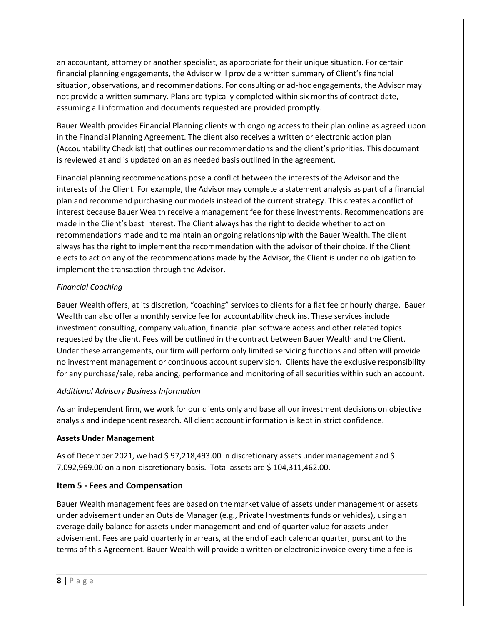an accountant, attorney or another specialist, as appropriate for their unique situation. For certain financial planning engagements, the Advisor will provide a written summary of Client's financial situation, observations, and recommendations. For consulting or ad-hoc engagements, the Advisor may not provide a written summary. Plans are typically completed within six months of contract date, assuming all information and documents requested are provided promptly.

Bauer Wealth provides Financial Planning clients with ongoing access to their plan online as agreed upon in the Financial Planning Agreement. The client also receives a written or electronic action plan (Accountability Checklist) that outlines our recommendations and the client's priorities. This document is reviewed at and is updated on an as needed basis outlined in the agreement.

Financial planning recommendations pose a conflict between the interests of the Advisor and the interests of the Client. For example, the Advisor may complete a statement analysis as part of a financial plan and recommend purchasing our models instead of the current strategy. This creates a conflict of interest because Bauer Wealth receive a management fee for these investments. Recommendations are made in the Client's best interest. The Client always has the right to decide whether to act on recommendations made and to maintain an ongoing relationship with the Bauer Wealth. The client always has the right to implement the recommendation with the advisor of their choice. If the Client elects to act on any of the recommendations made by the Advisor, the Client is under no obligation to implement the transaction through the Advisor.

#### *Financial Coaching*

Bauer Wealth offers, at its discretion, "coaching" services to clients for a flat fee or hourly charge. Bauer Wealth can also offer a monthly service fee for accountability check ins. These services include investment consulting, company valuation, financial plan software access and other related topics requested by the client. Fees will be outlined in the contract between Bauer Wealth and the Client. Under these arrangements, our firm will perform only limited servicing functions and often will provide no investment management or continuous account supervision. Clients have the exclusive responsibility for any purchase/sale, rebalancing, performance and monitoring of all securities within such an account.

#### *Additional Advisory Business Information*

As an independent firm, we work for our clients only and base all our investment decisions on objective analysis and independent research. All client account information is kept in strict confidence.

#### **Assets Under Management**

As of December 2021, we had \$ 97,218,493.00 in discretionary assets under management and \$ 7,092,969.00 on a non-discretionary basis. Total assets are \$ 104,311,462.00.

#### **Item 5 - Fees and Compensation**

Bauer Wealth management fees are based on the market value of assets under management or assets under advisement under an Outside Manager (e.g., Private Investments funds or vehicles), using an average daily balance for assets under management and end of quarter value for assets under advisement. Fees are paid quarterly in arrears, at the end of each calendar quarter, pursuant to the terms of this Agreement. Bauer Wealth will provide a written or electronic invoice every time a fee is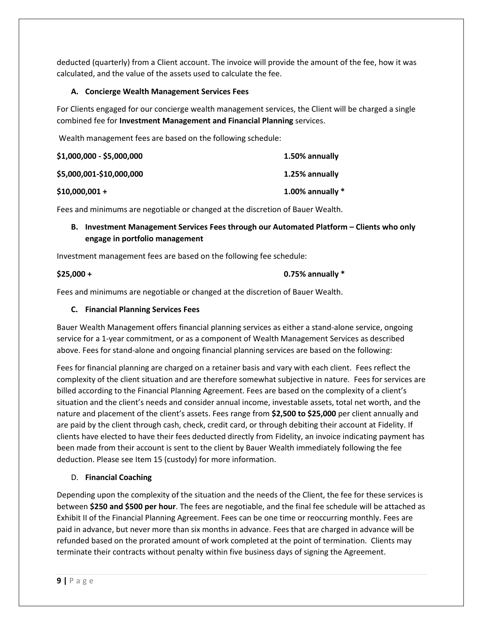deducted (quarterly) from a Client account. The invoice will provide the amount of the fee, how it was calculated, and the value of the assets used to calculate the fee.

#### **A. Concierge Wealth Management Services Fees**

For Clients engaged for our concierge wealth management services, the Client will be charged a single combined fee for **Investment Management and Financial Planning** services.

Wealth management fees are based on the following schedule:

| \$1,000,000 - \$5,000,000 | 1.50% annually     |
|---------------------------|--------------------|
| \$5,000,001-\$10,000,000  | 1.25% annually     |
| $$10,000,001 +$           | 1.00% annually $*$ |

Fees and minimums are negotiable or changed at the discretion of Bauer Wealth.

#### **B. Investment Management Services Fees through our Automated Platform – Clients who only engage in portfolio management**

Investment management fees are based on the following fee schedule:

## **\$25,000 + 0.75% annually \***

Fees and minimums are negotiable or changed at the discretion of Bauer Wealth.

#### **C. Financial Planning Services Fees**

Bauer Wealth Management offers financial planning services as either a stand-alone service, ongoing service for a 1-year commitment, or as a component of Wealth Management Services as described above. Fees for stand-alone and ongoing financial planning services are based on the following:

Fees for financial planning are charged on a retainer basis and vary with each client. Fees reflect the complexity of the client situation and are therefore somewhat subjective in nature. Fees for services are billed according to the Financial Planning Agreement. Fees are based on the complexity of a client's situation and the client's needs and consider annual income, investable assets, total net worth, and the nature and placement of the client's assets. Fees range from **\$2,500 to \$25,000** per client annually and are paid by the client through cash, check, credit card, or through debiting their account at Fidelity. If clients have elected to have their fees deducted directly from Fidelity, an invoice indicating payment has been made from their account is sent to the client by Bauer Wealth immediately following the fee deduction. Please see Item 15 (custody) for more information.

#### D. **Financial Coaching**

Depending upon the complexity of the situation and the needs of the Client, the fee for these services is between **\$250 and \$500 per hour**. The fees are negotiable, and the final fee schedule will be attached as Exhibit II of the Financial Planning Agreement. Fees can be one time or reoccurring monthly. Fees are paid in advance, but never more than six months in advance. Fees that are charged in advance will be refunded based on the prorated amount of work completed at the point of termination. Clients may terminate their contracts without penalty within five business days of signing the Agreement.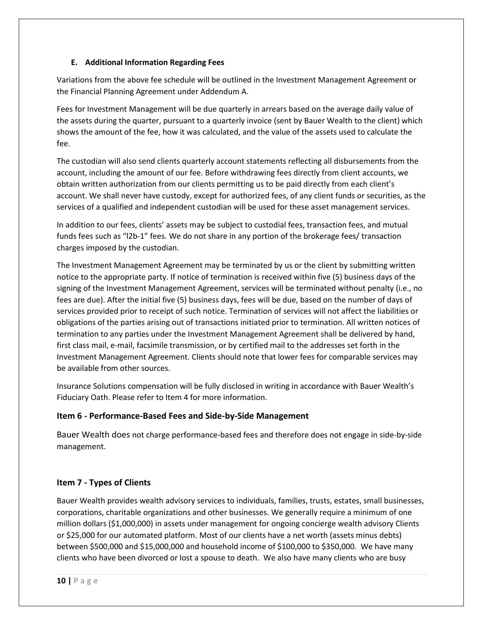#### **E. Additional Information Regarding Fees**

Variations from the above fee schedule will be outlined in the Investment Management Agreement or the Financial Planning Agreement under Addendum A.

Fees for Investment Management will be due quarterly in arrears based on the average daily value of the assets during the quarter, pursuant to a quarterly invoice (sent by Bauer Wealth to the client) which shows the amount of the fee, how it was calculated, and the value of the assets used to calculate the fee.

The custodian will also send clients quarterly account statements reflecting all disbursements from the account, including the amount of our fee. Before withdrawing fees directly from client accounts, we obtain written authorization from our clients permitting us to be paid directly from each client's account. We shall never have custody, except for authorized fees, of any client funds or securities, as the services of a qualified and independent custodian will be used for these asset management services.

In addition to our fees, clients' assets may be subject to custodial fees, transaction fees, and mutual funds fees such as "l2b-1" fees. We do not share in any portion of the brokerage fees/ transaction charges imposed by the custodian.

The Investment Management Agreement may be terminated by us or the client by submitting written notice to the appropriate party. If notice of termination is received within five (5) business days of the signing of the Investment Management Agreement, services will be terminated without penalty (i.e., no fees are due). After the initial five (5) business days, fees will be due, based on the number of days of services provided prior to receipt of such notice. Termination of services will not affect the liabilities or obligations of the parties arising out of transactions initiated prior to termination. All written notices of termination to any parties under the Investment Management Agreement shall be delivered by hand, first class mail, e-mail, facsimile transmission, or by certified mail to the addresses set forth in the Investment Management Agreement. Clients should note that lower fees for comparable services may be available from other sources.

Insurance Solutions compensation will be fully disclosed in writing in accordance with Bauer Wealth's Fiduciary Oath. Please refer to Item 4 for more information.

#### **Item 6 - Performance-Based Fees and Side-by-Side Management**

Bauer Wealth does not charge performance-based fees and therefore does not engage in side-by-side management.

#### **Item 7 - Types of Clients**

Bauer Wealth provides wealth advisory services to individuals, families, trusts, estates, small businesses, corporations, charitable organizations and other businesses. We generally require a minimum of one million dollars (\$1,000,000) in assets under management for ongoing concierge wealth advisory Clients or \$25,000 for our automated platform. Most of our clients have a net worth (assets minus debts) between \$500,000 and \$15,000,000 and household income of \$100,000 to \$350,000. We have many clients who have been divorced or lost a spouse to death. We also have many clients who are busy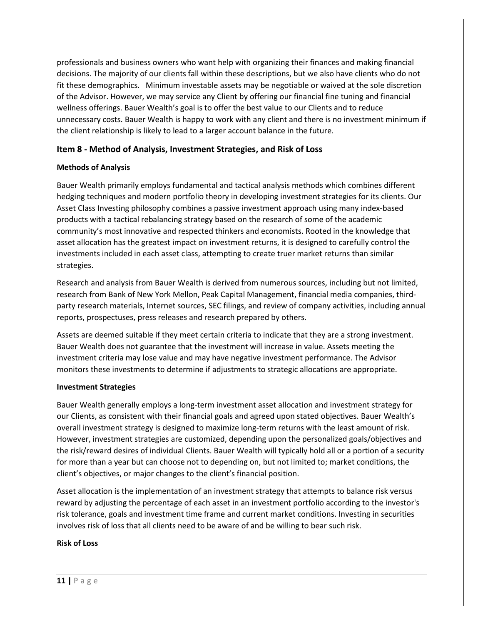professionals and business owners who want help with organizing their finances and making financial decisions. The majority of our clients fall within these descriptions, but we also have clients who do not fit these demographics. Minimum investable assets may be negotiable or waived at the sole discretion of the Advisor. However, we may service any Client by offering our financial fine tuning and financial wellness offerings. Bauer Wealth's goal is to offer the best value to our Clients and to reduce unnecessary costs. Bauer Wealth is happy to work with any client and there is no investment minimum if the client relationship is likely to lead to a larger account balance in the future.

#### **Item 8 - Method of Analysis, Investment Strategies, and Risk of Loss**

#### **Methods of Analysis**

Bauer Wealth primarily employs fundamental and tactical analysis methods which combines different hedging techniques and modern portfolio theory in developing investment strategies for its clients. Our Asset Class Investing philosophy combines a passive investment approach using many index-based products with a tactical rebalancing strategy based on the research of some of the academic community's most innovative and respected thinkers and economists. Rooted in the knowledge that asset allocation has the greatest impact on investment returns, it is designed to carefully control the investments included in each asset class, attempting to create truer market returns than similar strategies.

Research and analysis from Bauer Wealth is derived from numerous sources, including but not limited, research from Bank of New York Mellon, Peak Capital Management, financial media companies, thirdparty research materials, Internet sources, SEC filings, and review of company activities, including annual reports, prospectuses, press releases and research prepared by others.

Assets are deemed suitable if they meet certain criteria to indicate that they are a strong investment. Bauer Wealth does not guarantee that the investment will increase in value. Assets meeting the investment criteria may lose value and may have negative investment performance. The Advisor monitors these investments to determine if adjustments to strategic allocations are appropriate.

#### **Investment Strategies**

Bauer Wealth generally employs a long-term investment asset allocation and investment strategy for our Clients, as consistent with their financial goals and agreed upon stated objectives. Bauer Wealth's overall investment strategy is designed to maximize long-term returns with the least amount of risk. However, investment strategies are customized, depending upon the personalized goals/objectives and the risk/reward desires of individual Clients. Bauer Wealth will typically hold all or a portion of a security for more than a year but can choose not to depending on, but not limited to; market conditions, the client's objectives, or major changes to the client's financial position.

Asset allocation is the implementation of an investment strategy that attempts to balance risk versus reward by adjusting the percentage of each asset in an investment portfolio according to the investor's risk tolerance, goals and investment time frame and current market conditions. Investing in securities involves risk of loss that all clients need to be aware of and be willing to bear such risk.

#### **Risk of Loss**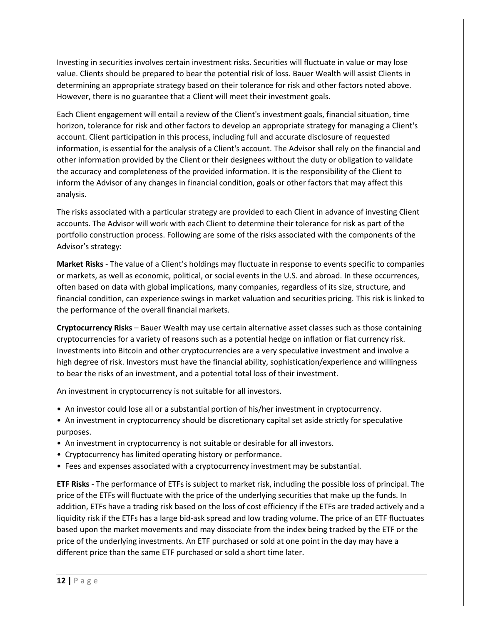Investing in securities involves certain investment risks. Securities will fluctuate in value or may lose value. Clients should be prepared to bear the potential risk of loss. Bauer Wealth will assist Clients in determining an appropriate strategy based on their tolerance for risk and other factors noted above. However, there is no guarantee that a Client will meet their investment goals.

Each Client engagement will entail a review of the Client's investment goals, financial situation, time horizon, tolerance for risk and other factors to develop an appropriate strategy for managing a Client's account. Client participation in this process, including full and accurate disclosure of requested information, is essential for the analysis of a Client's account. The Advisor shall rely on the financial and other information provided by the Client or their designees without the duty or obligation to validate the accuracy and completeness of the provided information. It is the responsibility of the Client to inform the Advisor of any changes in financial condition, goals or other factors that may affect this analysis.

The risks associated with a particular strategy are provided to each Client in advance of investing Client accounts. The Advisor will work with each Client to determine their tolerance for risk as part of the portfolio construction process. Following are some of the risks associated with the components of the Advisor's strategy:

**Market Risks** - The value of a Client's holdings may fluctuate in response to events specific to companies or markets, as well as economic, political, or social events in the U.S. and abroad. In these occurrences, often based on data with global implications, many companies, regardless of its size, structure, and financial condition, can experience swings in market valuation and securities pricing. This risk is linked to the performance of the overall financial markets.

**Cryptocurrency Risks** – Bauer Wealth may use certain alternative asset classes such as those containing cryptocurrencies for a variety of reasons such as a potential hedge on inflation or fiat currency risk. Investments into Bitcoin and other cryptocurrencies are a very speculative investment and involve a high degree of risk. Investors must have the financial ability, sophistication/experience and willingness to bear the risks of an investment, and a potential total loss of their investment.

An investment in cryptocurrency is not suitable for all investors.

- An investor could lose all or a substantial portion of his/her investment in cryptocurrency.
- An investment in cryptocurrency should be discretionary capital set aside strictly for speculative purposes.
- An investment in cryptocurrency is not suitable or desirable for all investors.
- Cryptocurrency has limited operating history or performance.
- Fees and expenses associated with a cryptocurrency investment may be substantial.

**ETF Risks** - The performance of ETFs is subject to market risk, including the possible loss of principal. The price of the ETFs will fluctuate with the price of the underlying securities that make up the funds. In addition, ETFs have a trading risk based on the loss of cost efficiency if the ETFs are traded actively and a liquidity risk if the ETFs has a large bid-ask spread and low trading volume. The price of an ETF fluctuates based upon the market movements and may dissociate from the index being tracked by the ETF or the price of the underlying investments. An ETF purchased or sold at one point in the day may have a different price than the same ETF purchased or sold a short time later.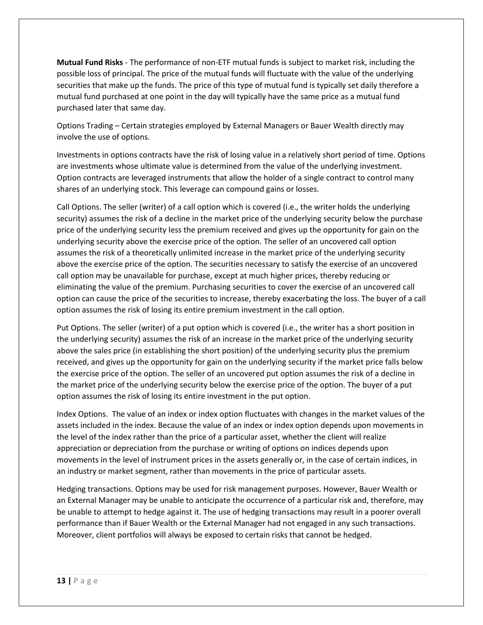**Mutual Fund Risks** - The performance of non-ETF mutual funds is subject to market risk, including the possible loss of principal. The price of the mutual funds will fluctuate with the value of the underlying securities that make up the funds. The price of this type of mutual fund is typically set daily therefore a mutual fund purchased at one point in the day will typically have the same price as a mutual fund purchased later that same day.

Options Trading – Certain strategies employed by External Managers or Bauer Wealth directly may involve the use of options.

Investments in options contracts have the risk of losing value in a relatively short period of time. Options are investments whose ultimate value is determined from the value of the underlying investment. Option contracts are leveraged instruments that allow the holder of a single contract to control many shares of an underlying stock. This leverage can compound gains or losses.

Call Options. The seller (writer) of a call option which is covered (i.e., the writer holds the underlying security) assumes the risk of a decline in the market price of the underlying security below the purchase price of the underlying security less the premium received and gives up the opportunity for gain on the underlying security above the exercise price of the option. The seller of an uncovered call option assumes the risk of a theoretically unlimited increase in the market price of the underlying security above the exercise price of the option. The securities necessary to satisfy the exercise of an uncovered call option may be unavailable for purchase, except at much higher prices, thereby reducing or eliminating the value of the premium. Purchasing securities to cover the exercise of an uncovered call option can cause the price of the securities to increase, thereby exacerbating the loss. The buyer of a call option assumes the risk of losing its entire premium investment in the call option.

Put Options. The seller (writer) of a put option which is covered (i.e., the writer has a short position in the underlying security) assumes the risk of an increase in the market price of the underlying security above the sales price (in establishing the short position) of the underlying security plus the premium received, and gives up the opportunity for gain on the underlying security if the market price falls below the exercise price of the option. The seller of an uncovered put option assumes the risk of a decline in the market price of the underlying security below the exercise price of the option. The buyer of a put option assumes the risk of losing its entire investment in the put option.

Index Options. The value of an index or index option fluctuates with changes in the market values of the assets included in the index. Because the value of an index or index option depends upon movements in the level of the index rather than the price of a particular asset, whether the client will realize appreciation or depreciation from the purchase or writing of options on indices depends upon movements in the level of instrument prices in the assets generally or, in the case of certain indices, in an industry or market segment, rather than movements in the price of particular assets.

Hedging transactions. Options may be used for risk management purposes. However, Bauer Wealth or an External Manager may be unable to anticipate the occurrence of a particular risk and, therefore, may be unable to attempt to hedge against it. The use of hedging transactions may result in a poorer overall performance than if Bauer Wealth or the External Manager had not engaged in any such transactions. Moreover, client portfolios will always be exposed to certain risks that cannot be hedged.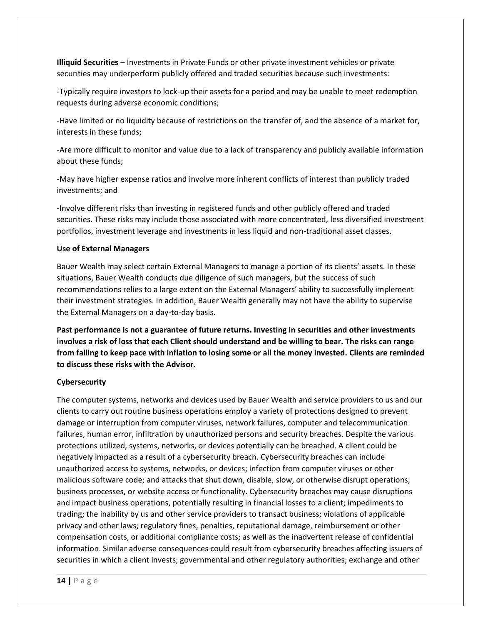**Illiquid Securities** – Investments in Private Funds or other private investment vehicles or private securities may underperform publicly offered and traded securities because such investments:

-Typically require investors to lock-up their assets for a period and may be unable to meet redemption requests during adverse economic conditions;

-Have limited or no liquidity because of restrictions on the transfer of, and the absence of a market for, interests in these funds;

-Are more difficult to monitor and value due to a lack of transparency and publicly available information about these funds;

-May have higher expense ratios and involve more inherent conflicts of interest than publicly traded investments; and

-Involve different risks than investing in registered funds and other publicly offered and traded securities. These risks may include those associated with more concentrated, less diversified investment portfolios, investment leverage and investments in less liquid and non-traditional asset classes.

#### **Use of External Managers**

Bauer Wealth may select certain External Managers to manage a portion of its clients' assets. In these situations, Bauer Wealth conducts due diligence of such managers, but the success of such recommendations relies to a large extent on the External Managers' ability to successfully implement their investment strategies. In addition, Bauer Wealth generally may not have the ability to supervise the External Managers on a day-to-day basis.

**Past performance is not a guarantee of future returns. Investing in securities and other investments involves a risk of loss that each Client should understand and be willing to bear. The risks can range from failing to keep pace with inflation to losing some or all the money invested. Clients are reminded to discuss these risks with the Advisor.**

#### **Cybersecurity**

The computer systems, networks and devices used by Bauer Wealth and service providers to us and our clients to carry out routine business operations employ a variety of protections designed to prevent damage or interruption from computer viruses, network failures, computer and telecommunication failures, human error, infiltration by unauthorized persons and security breaches. Despite the various protections utilized, systems, networks, or devices potentially can be breached. A client could be negatively impacted as a result of a cybersecurity breach. Cybersecurity breaches can include unauthorized access to systems, networks, or devices; infection from computer viruses or other malicious software code; and attacks that shut down, disable, slow, or otherwise disrupt operations, business processes, or website access or functionality. Cybersecurity breaches may cause disruptions and impact business operations, potentially resulting in financial losses to a client; impediments to trading; the inability by us and other service providers to transact business; violations of applicable privacy and other laws; regulatory fines, penalties, reputational damage, reimbursement or other compensation costs, or additional compliance costs; as well as the inadvertent release of confidential information. Similar adverse consequences could result from cybersecurity breaches affecting issuers of securities in which a client invests; governmental and other regulatory authorities; exchange and other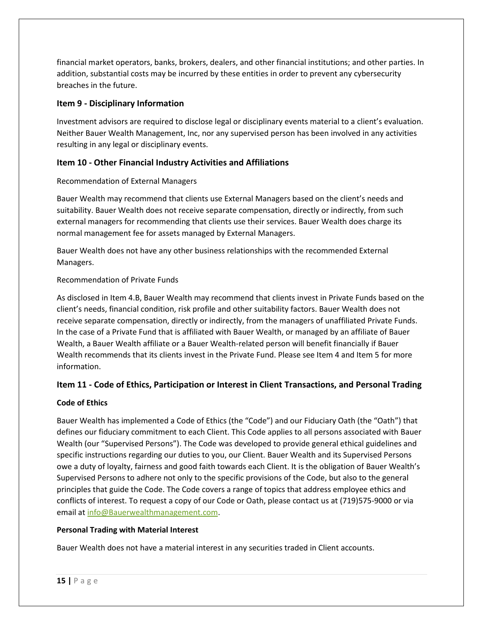financial market operators, banks, brokers, dealers, and other financial institutions; and other parties. In addition, substantial costs may be incurred by these entities in order to prevent any cybersecurity breaches in the future.

#### **Item 9 - Disciplinary Information**

Investment advisors are required to disclose legal or disciplinary events material to a client's evaluation. Neither Bauer Wealth Management, Inc, nor any supervised person has been involved in any activities resulting in any legal or disciplinary events.

#### **Item 10 - Other Financial Industry Activities and Affiliations**

#### Recommendation of External Managers

Bauer Wealth may recommend that clients use External Managers based on the client's needs and suitability. Bauer Wealth does not receive separate compensation, directly or indirectly, from such external managers for recommending that clients use their services. Bauer Wealth does charge its normal management fee for assets managed by External Managers.

Bauer Wealth does not have any other business relationships with the recommended External Managers.

#### Recommendation of Private Funds

As disclosed in Item 4.B, Bauer Wealth may recommend that clients invest in Private Funds based on the client's needs, financial condition, risk profile and other suitability factors. Bauer Wealth does not receive separate compensation, directly or indirectly, from the managers of unaffiliated Private Funds. In the case of a Private Fund that is affiliated with Bauer Wealth, or managed by an affiliate of Bauer Wealth, a Bauer Wealth affiliate or a Bauer Wealth-related person will benefit financially if Bauer Wealth recommends that its clients invest in the Private Fund. Please see Item 4 and Item 5 for more information.

#### **Item 11 - Code of Ethics, Participation or Interest in Client Transactions, and Personal Trading**

#### **Code of Ethics**

Bauer Wealth has implemented a Code of Ethics (the "Code") and our Fiduciary Oath (the "Oath") that defines our fiduciary commitment to each Client. This Code applies to all persons associated with Bauer Wealth (our "Supervised Persons"). The Code was developed to provide general ethical guidelines and specific instructions regarding our duties to you, our Client. Bauer Wealth and its Supervised Persons owe a duty of loyalty, fairness and good faith towards each Client. It is the obligation of Bauer Wealth's Supervised Persons to adhere not only to the specific provisions of the Code, but also to the general principles that guide the Code. The Code covers a range of topics that address employee ethics and conflicts of interest. To request a copy of our Code or Oath, please contact us at (719)575-9000 or via email a[t info@Bauerwealthmanagement.com.](mailto:info@Bauerwealthmanagement.com)

#### **Personal Trading with Material Interest**

Bauer Wealth does not have a material interest in any securities traded in Client accounts.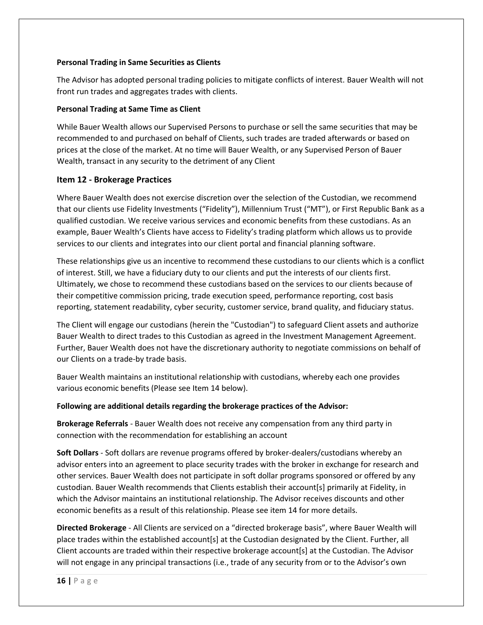#### **Personal Trading in Same Securities as Clients**

The Advisor has adopted personal trading policies to mitigate conflicts of interest. Bauer Wealth will not front run trades and aggregates trades with clients.

#### **Personal Trading at Same Time as Client**

While Bauer Wealth allows our Supervised Persons to purchase or sell the same securities that may be recommended to and purchased on behalf of Clients, such trades are traded afterwards or based on prices at the close of the market. At no time will Bauer Wealth, or any Supervised Person of Bauer Wealth, transact in any security to the detriment of any Client

#### **Item 12 - Brokerage Practices**

Where Bauer Wealth does not exercise discretion over the selection of the Custodian, we recommend that our clients use Fidelity Investments ("Fidelity"), Millennium Trust ("MT"), or First Republic Bank as a qualified custodian. We receive various services and economic benefits from these custodians. As an example, Bauer Wealth's Clients have access to Fidelity's trading platform which allows us to provide services to our clients and integrates into our client portal and financial planning software.

These relationships give us an incentive to recommend these custodians to our clients which is a conflict of interest. Still, we have a fiduciary duty to our clients and put the interests of our clients first. Ultimately, we chose to recommend these custodians based on the services to our clients because of their competitive commission pricing, trade execution speed, performance reporting, cost basis reporting, statement readability, cyber security, customer service, brand quality, and fiduciary status.

The Client will engage our custodians (herein the "Custodian") to safeguard Client assets and authorize Bauer Wealth to direct trades to this Custodian as agreed in the Investment Management Agreement. Further, Bauer Wealth does not have the discretionary authority to negotiate commissions on behalf of our Clients on a trade-by trade basis.

Bauer Wealth maintains an institutional relationship with custodians, whereby each one provides various economic benefits (Please see Item 14 below).

#### **Following are additional details regarding the brokerage practices of the Advisor:**

**Brokerage Referrals** - Bauer Wealth does not receive any compensation from any third party in connection with the recommendation for establishing an account

**Soft Dollars** - Soft dollars are revenue programs offered by broker-dealers/custodians whereby an advisor enters into an agreement to place security trades with the broker in exchange for research and other services. Bauer Wealth does not participate in soft dollar programs sponsored or offered by any custodian. Bauer Wealth recommends that Clients establish their account[s] primarily at Fidelity, in which the Advisor maintains an institutional relationship. The Advisor receives discounts and other economic benefits as a result of this relationship. Please see item 14 for more details.

**Directed Brokerage** - All Clients are serviced on a "directed brokerage basis", where Bauer Wealth will place trades within the established account[s] at the Custodian designated by the Client. Further, all Client accounts are traded within their respective brokerage account[s] at the Custodian. The Advisor will not engage in any principal transactions (i.e., trade of any security from or to the Advisor's own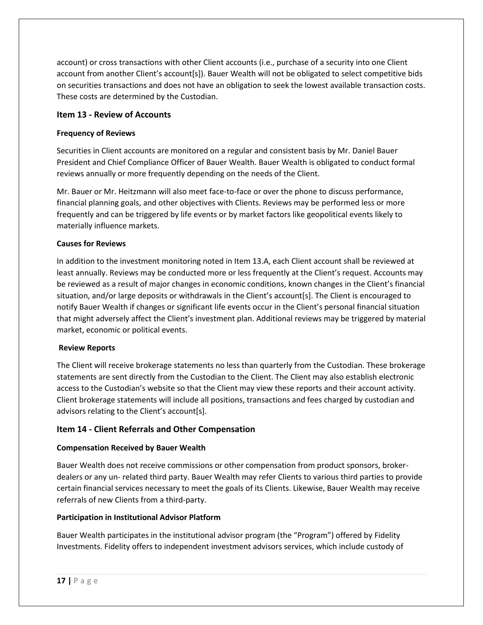account) or cross transactions with other Client accounts (i.e., purchase of a security into one Client account from another Client's account[s]). Bauer Wealth will not be obligated to select competitive bids on securities transactions and does not have an obligation to seek the lowest available transaction costs. These costs are determined by the Custodian.

#### **Item 13 - Review of Accounts**

#### **Frequency of Reviews**

Securities in Client accounts are monitored on a regular and consistent basis by Mr. Daniel Bauer President and Chief Compliance Officer of Bauer Wealth. Bauer Wealth is obligated to conduct formal reviews annually or more frequently depending on the needs of the Client.

Mr. Bauer or Mr. Heitzmann will also meet face-to-face or over the phone to discuss performance, financial planning goals, and other objectives with Clients. Reviews may be performed less or more frequently and can be triggered by life events or by market factors like geopolitical events likely to materially influence markets.

#### **Causes for Reviews**

In addition to the investment monitoring noted in Item 13.A, each Client account shall be reviewed at least annually. Reviews may be conducted more or less frequently at the Client's request. Accounts may be reviewed as a result of major changes in economic conditions, known changes in the Client's financial situation, and/or large deposits or withdrawals in the Client's account[s]. The Client is encouraged to notify Bauer Wealth if changes or significant life events occur in the Client's personal financial situation that might adversely affect the Client's investment plan. Additional reviews may be triggered by material market, economic or political events.

#### **Review Reports**

The Client will receive brokerage statements no less than quarterly from the Custodian. These brokerage statements are sent directly from the Custodian to the Client. The Client may also establish electronic access to the Custodian's website so that the Client may view these reports and their account activity. Client brokerage statements will include all positions, transactions and fees charged by custodian and advisors relating to the Client's account[s].

#### **Item 14 - Client Referrals and Other Compensation**

#### **Compensation Received by Bauer Wealth**

Bauer Wealth does not receive commissions or other compensation from product sponsors, brokerdealers or any un- related third party. Bauer Wealth may refer Clients to various third parties to provide certain financial services necessary to meet the goals of its Clients. Likewise, Bauer Wealth may receive referrals of new Clients from a third-party.

#### **Participation in Institutional Advisor Platform**

Bauer Wealth participates in the institutional advisor program (the "Program") offered by Fidelity Investments. Fidelity offers to independent investment advisors services, which include custody of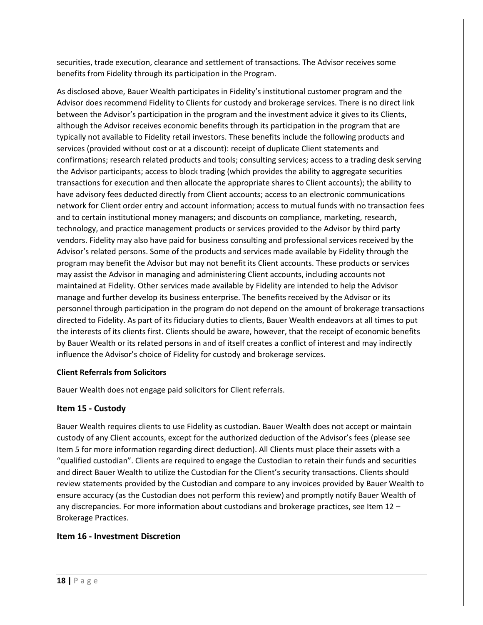securities, trade execution, clearance and settlement of transactions. The Advisor receives some benefits from Fidelity through its participation in the Program.

As disclosed above, Bauer Wealth participates in Fidelity's institutional customer program and the Advisor does recommend Fidelity to Clients for custody and brokerage services. There is no direct link between the Advisor's participation in the program and the investment advice it gives to its Clients, although the Advisor receives economic benefits through its participation in the program that are typically not available to Fidelity retail investors. These benefits include the following products and services (provided without cost or at a discount): receipt of duplicate Client statements and confirmations; research related products and tools; consulting services; access to a trading desk serving the Advisor participants; access to block trading (which provides the ability to aggregate securities transactions for execution and then allocate the appropriate shares to Client accounts); the ability to have advisory fees deducted directly from Client accounts; access to an electronic communications network for Client order entry and account information; access to mutual funds with no transaction fees and to certain institutional money managers; and discounts on compliance, marketing, research, technology, and practice management products or services provided to the Advisor by third party vendors. Fidelity may also have paid for business consulting and professional services received by the Advisor's related persons. Some of the products and services made available by Fidelity through the program may benefit the Advisor but may not benefit its Client accounts. These products or services may assist the Advisor in managing and administering Client accounts, including accounts not maintained at Fidelity. Other services made available by Fidelity are intended to help the Advisor manage and further develop its business enterprise. The benefits received by the Advisor or its personnel through participation in the program do not depend on the amount of brokerage transactions directed to Fidelity. As part of its fiduciary duties to clients, Bauer Wealth endeavors at all times to put the interests of its clients first. Clients should be aware, however, that the receipt of economic benefits by Bauer Wealth or its related persons in and of itself creates a conflict of interest and may indirectly influence the Advisor's choice of Fidelity for custody and brokerage services.

#### **Client Referrals from Solicitors**

Bauer Wealth does not engage paid solicitors for Client referrals.

#### **Item 15 - Custody**

Bauer Wealth requires clients to use Fidelity as custodian. Bauer Wealth does not accept or maintain custody of any Client accounts, except for the authorized deduction of the Advisor's fees (please see Item 5 for more information regarding direct deduction). All Clients must place their assets with a "qualified custodian". Clients are required to engage the Custodian to retain their funds and securities and direct Bauer Wealth to utilize the Custodian for the Client's security transactions. Clients should review statements provided by the Custodian and compare to any invoices provided by Bauer Wealth to ensure accuracy (as the Custodian does not perform this review) and promptly notify Bauer Wealth of any discrepancies. For more information about custodians and brokerage practices, see Item 12 – Brokerage Practices.

#### **Item 16 - Investment Discretion**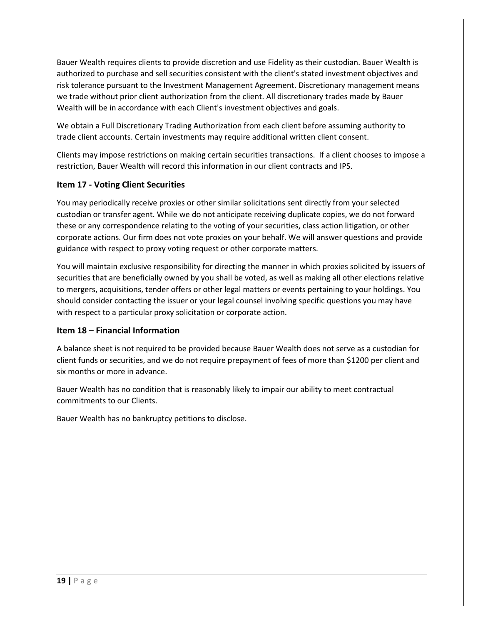Bauer Wealth requires clients to provide discretion and use Fidelity as their custodian. Bauer Wealth is authorized to purchase and sell securities consistent with the client's stated investment objectives and risk tolerance pursuant to the Investment Management Agreement. Discretionary management means we trade without prior client authorization from the client. All discretionary trades made by Bauer Wealth will be in accordance with each Client's investment objectives and goals.

We obtain a Full Discretionary Trading Authorization from each client before assuming authority to trade client accounts. Certain investments may require additional written client consent.

Clients may impose restrictions on making certain securities transactions. If a client chooses to impose a restriction, Bauer Wealth will record this information in our client contracts and IPS.

#### **Item 17 - Voting Client Securities**

You may periodically receive proxies or other similar solicitations sent directly from your selected custodian or transfer agent. While we do not anticipate receiving duplicate copies, we do not forward these or any correspondence relating to the voting of your securities, class action litigation, or other corporate actions. Our firm does not vote proxies on your behalf. We will answer questions and provide guidance with respect to proxy voting request or other corporate matters.

You will maintain exclusive responsibility for directing the manner in which proxies solicited by issuers of securities that are beneficially owned by you shall be voted, as well as making all other elections relative to mergers, acquisitions, tender offers or other legal matters or events pertaining to your holdings. You should consider contacting the issuer or your legal counsel involving specific questions you may have with respect to a particular proxy solicitation or corporate action.

#### **Item 18 – Financial Information**

A balance sheet is not required to be provided because Bauer Wealth does not serve as a custodian for client funds or securities, and we do not require prepayment of fees of more than \$1200 per client and six months or more in advance.

Bauer Wealth has no condition that is reasonably likely to impair our ability to meet contractual commitments to our Clients.

Bauer Wealth has no bankruptcy petitions to disclose.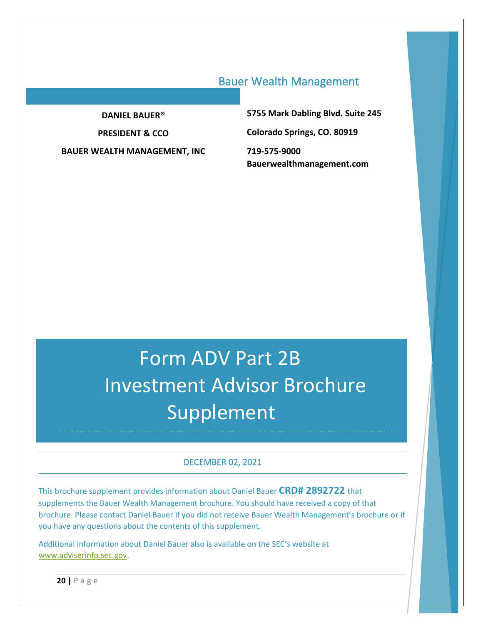## Bauer Wealth Management

**DANIEL BAUER®**

**PRESIDENT & CCO**

**BAUER WEALTH MANAGEMENT, INC**

**5755 Mark Dabling Blvd. Suite 245 Colorado Springs, CO. 80919 719-575-9000 Bauerwealthmanagement.com**

# Form ADV Part 2B Investment Advisor Brochure Supplement

#### DECEMBER 02, 2021

This brochure supplement provides information about Daniel Bauer **CRD# 2892722** that supplements the Bauer Wealth Management brochure. You should have received a copy of that brochure. Please contact Daniel Bauer if you did not receive Bauer Wealth Management's brochure or if you have any questions about the contents of this supplement.

Additional information about Daniel Bauer also is available on the SEC's website at [www.adviserinfo.sec.gov.](http://www.adviserinfo.sec.gov/)

**20 |** P a g e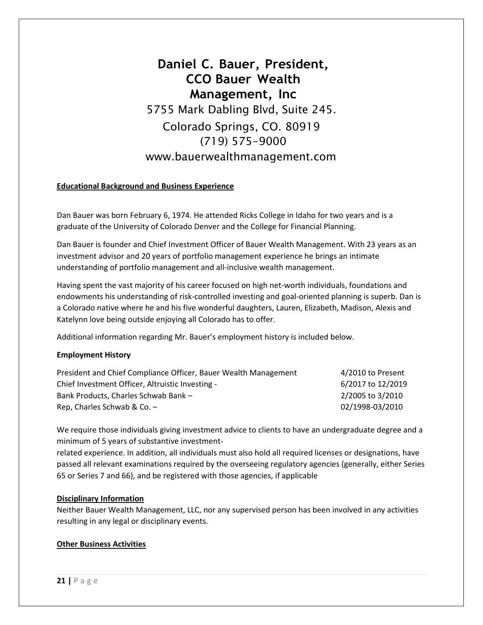## **Daniel C. Bauer, President, CCO Bauer Wealth Management, Inc** 5755 Mark Dabling Blvd, Suite 245. Colorado Springs, CO. 80919 (719) 575-9000 [www.bauerwealthmanagement.com](http://www.bauerwealthmanagement.com/)

#### **Educational Background and Business Experience**

Dan Bauer was born February 6, 1974. He attended Ricks College in Idaho for two years and is a graduate of the University of Colorado Denver and the College for Financial Planning.

Dan Bauer is founder and Chief Investment Officer of Bauer Wealth Management. With 23 years as an investment advisor and 20 years of portfolio management experience he brings an intimate understanding of portfolio management and all-inclusive wealth management.

Having spent the vast majority of his career focused on high net-worth individuals, foundations and endowments his understanding of risk-controlled investing and goal-oriented planning is superb. Dan is a Colorado native where he and his five wonderful daughters, Lauren, Elizabeth, Madison, Alexis and Katelynn love being outside enjoying all Colorado has to offer.

Additional information regarding Mr. Bauer's employment history is included below.

#### **Employment History**

| President and Chief Compliance Officer, Bauer Wealth Management | 4/2010 to Present |
|-----------------------------------------------------------------|-------------------|
| Chief Investment Officer, Altruistic Investing -                | 6/2017 to 12/2019 |
| Bank Products. Charles Schwab Bank -                            | 2/2005 to 3/2010  |
| Rep. Charles Schwab & Co. $-$                                   | 02/1998-03/2010   |

We require those individuals giving investment advice to clients to have an undergraduate degree and a minimum of 5 years of substantive investment-

related experience. In addition, all individuals must also hold all required licenses or designations, have passed all relevant examinations required by the overseeing regulatory agencies (generally, either Series 65 or Series 7 and 66), and be registered with those agencies, if applicable

#### **Disciplinary Information**

Neither Bauer Wealth Management, LLC, nor any supervised person has been involved in any activities resulting in any legal or disciplinary events.

#### **Other Business Activities**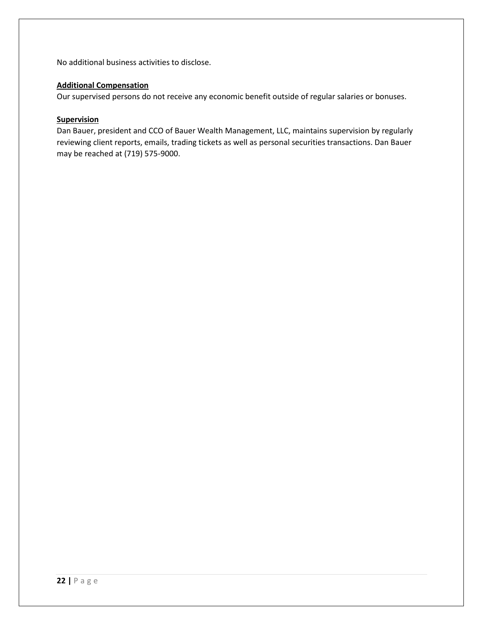No additional business activities to disclose.

#### **Additional Compensation**

Our supervised persons do not receive any economic benefit outside of regular salaries or bonuses.

#### **Supervision**

Dan Bauer, president and CCO of Bauer Wealth Management, LLC, maintains supervision by regularly reviewing client reports, emails, trading tickets as well as personal securities transactions. Dan Bauer may be reached at (719) 575-9000.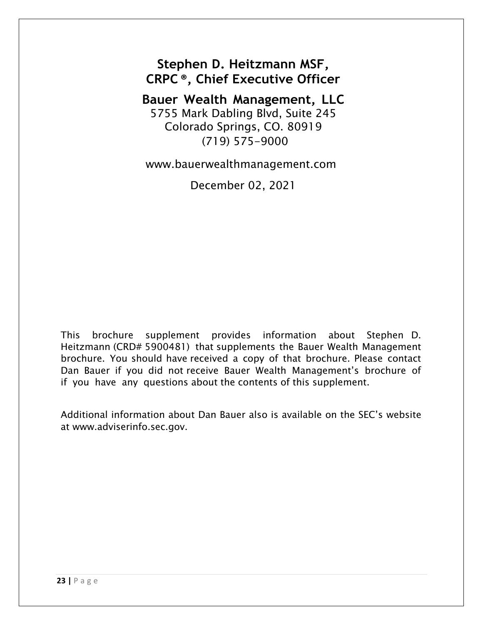**Stephen D. Heitzmann MSF, CRPC ®, Chief Executive Officer**

**Bauer Wealth Management, LLC** 5755 Mark Dabling Blvd, Suite 245 Colorado Springs, CO. 80919 (719) 575-9000

[www.bauerwealthmanagement.com](http://www.bauerwealthmanagement.com/)

December 02, 2021

This brochure supplement provides information about Stephen D. Heitzmann (CRD# 5900481) that supplements the Bauer Wealth Management brochure. You should have received a copy of that brochure. Please contact Dan Bauer if you did not receive Bauer Wealth Management's brochure of if you have any questions about the contents of this supplement.

Additional information about Dan Bauer also is available on the SEC's website at [www.adviserinfo.sec.gov.](http://www.adviserinfo.sec.gov/)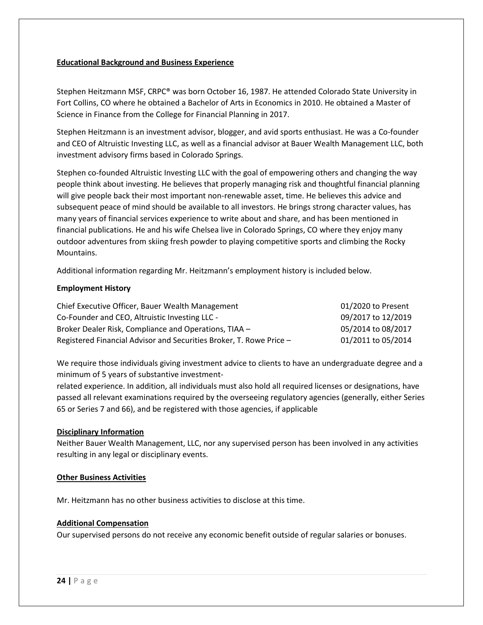#### **Educational Background and Business Experience**

Stephen Heitzmann MSF, CRPC® was born October 16, 1987. He attended Colorado State University in Fort Collins, CO where he obtained a Bachelor of Arts in Economics in 2010. He obtained a Master of Science in Finance from the College for Financial Planning in 2017.

Stephen Heitzmann is an investment advisor, blogger, and avid sports enthusiast. He was a Co-founder and CEO of Altruistic Investing LLC, as well as a financial advisor at Bauer Wealth Management LLC, both investment advisory firms based in Colorado Springs.

Stephen co-founded Altruistic Investing LLC with the goal of empowering others and changing the way people think about investing. He believes that properly managing risk and thoughtful financial planning will give people back their most important non-renewable asset, time. He believes this advice and subsequent peace of mind should be available to all investors. He brings strong character values, has many years of financial services experience to write about and share, and has been mentioned in financial publications. He and his wife Chelsea live in Colorado Springs, CO where they enjoy many outdoor adventures from skiing fresh powder to playing competitive sports and climbing the Rocky Mountains.

Additional information regarding Mr. Heitzmann's employment history is included below.

#### **Employment History**

| Chief Executive Officer, Bauer Wealth Management                    | 01/2020 to Present |
|---------------------------------------------------------------------|--------------------|
| Co-Founder and CEO, Altruistic Investing LLC -                      | 09/2017 to 12/2019 |
| Broker Dealer Risk, Compliance and Operations, TIAA -               | 05/2014 to 08/2017 |
| Registered Financial Advisor and Securities Broker, T. Rowe Price - | 01/2011 to 05/2014 |

We require those individuals giving investment advice to clients to have an undergraduate degree and a minimum of 5 years of substantive investment-

related experience. In addition, all individuals must also hold all required licenses or designations, have passed all relevant examinations required by the overseeing regulatory agencies (generally, either Series 65 or Series 7 and 66), and be registered with those agencies, if applicable

#### **Disciplinary Information**

Neither Bauer Wealth Management, LLC, nor any supervised person has been involved in any activities resulting in any legal or disciplinary events.

#### **Other Business Activities**

Mr. Heitzmann has no other business activities to disclose at this time.

#### **Additional Compensation**

Our supervised persons do not receive any economic benefit outside of regular salaries or bonuses.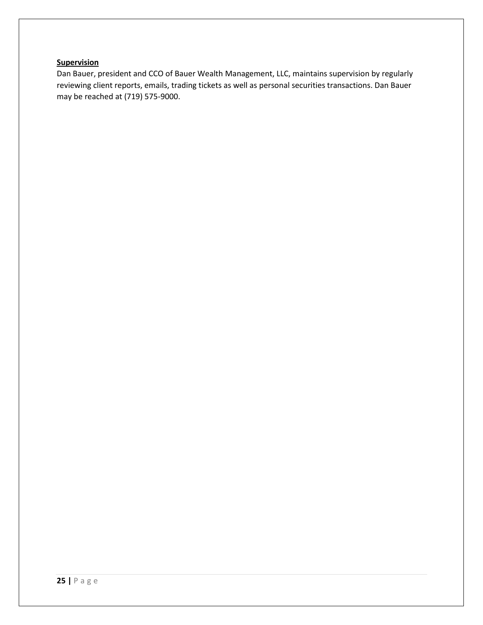#### **Supervision**

Dan Bauer, president and CCO of Bauer Wealth Management, LLC, maintains supervision by regularly reviewing client reports, emails, trading tickets as well as personal securities transactions. Dan Bauer may be reached at (719) 575-9000.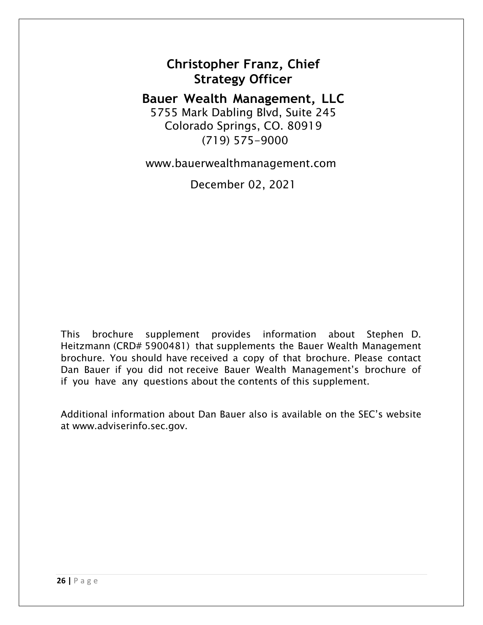## **Christopher Franz, Chief Strategy Officer**

**Bauer Wealth Management, LLC** 5755 Mark Dabling Blvd, Suite 245 Colorado Springs, CO. 80919 (719) 575-9000

[www.bauerwealthmanagement.com](http://www.bauerwealthmanagement.com/)

December 02, 2021

This brochure supplement provides information about Stephen D. Heitzmann (CRD# 5900481) that supplements the Bauer Wealth Management brochure. You should have received a copy of that brochure. Please contact Dan Bauer if you did not receive Bauer Wealth Management's brochure of if you have any questions about the contents of this supplement.

Additional information about Dan Bauer also is available on the SEC's website at [www.adviserinfo.sec.gov.](http://www.adviserinfo.sec.gov/)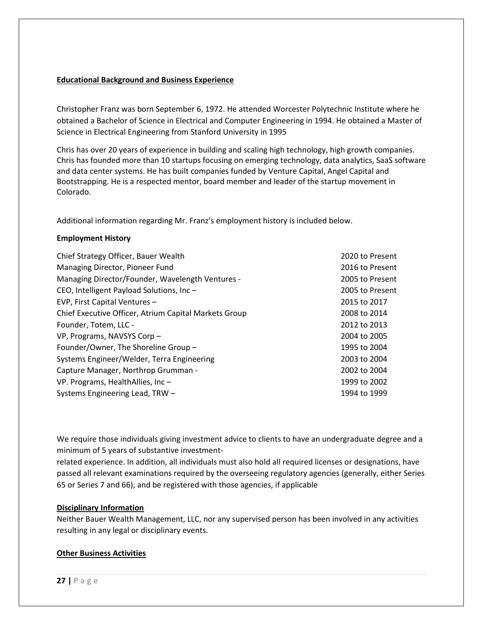#### **Educational Background and Business Experience**

Christopher Franz was born September 6, 1972. He attended Worcester Polytechnic Institute where he obtained a Bachelor of Science in Electrical and Computer Engineering in 1994. He obtained a Master of Science in Electrical Engineering from Stanford University in 1995

Chris has over 20 years of experience in building and scaling high technology, high growth companies. Chris has founded more than 10 startups focusing on emerging technology, data analytics, SaaS software and data center systems. He has built companies funded by Venture Capital, Angel Capital and Bootstrapping. He is a respected mentor, board member and leader of the startup movement in Colorado.

Additional information regarding Mr. Franz's employment history is included below.

#### **Employment History**

| Chief Strategy Officer, Bauer Wealth                  | 2020 to Present |
|-------------------------------------------------------|-----------------|
| Managing Director, Pioneer Fund                       | 2016 to Present |
| Managing Director/Founder, Wavelength Ventures -      | 2005 to Present |
| CEO, Intelligent Payload Solutions, Inc-              | 2005 to Present |
| EVP, First Capital Ventures -                         | 2015 to 2017    |
| Chief Executive Officer, Atrium Capital Markets Group | 2008 to 2014    |
| Founder, Totem, LLC -                                 | 2012 to 2013    |
| VP, Programs, NAVSYS Corp-                            | 2004 to 2005    |
| Founder/Owner, The Shoreline Group -                  | 1995 to 2004    |
| Systems Engineer/Welder, Terra Engineering            | 2003 to 2004    |
| Capture Manager, Northrop Grumman -                   | 2002 to 2004    |
| VP. Programs, HealthAllies, Inc -                     | 1999 to 2002    |
| Systems Engineering Lead, TRW -                       | 1994 to 1999    |

We require those individuals giving investment advice to clients to have an undergraduate degree and a minimum of 5 years of substantive investment-

related experience. In addition, all individuals must also hold all required licenses or designations, have passed all relevant examinations required by the overseeing regulatory agencies (generally, either Series 65 or Series 7 and 66), and be registered with those agencies, if applicable

#### **Disciplinary Information**

Neither Bauer Wealth Management, LLC, nor any supervised person has been involved in any activities resulting in any legal or disciplinary events.

#### **Other Business Activities**